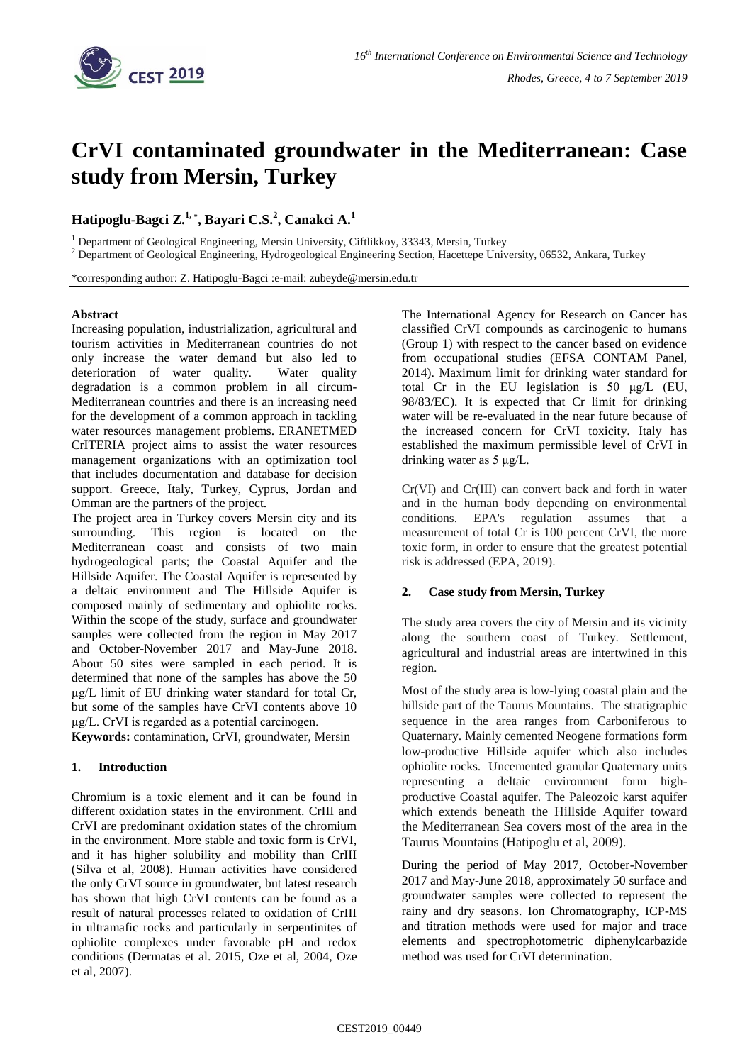

# **CrVI contaminated groundwater in the Mediterranean: Case study from Mersin, Turkey**

# **Hatipoglu-Bagci Z.1, \* , Bayari C.S.<sup>2</sup> , Canakci A.<sup>1</sup>**

<sup>1</sup> Department of Geological Engineering, Mersin University, Ciftlikkoy, 33343, Mersin, Turkey

<sup>2</sup> Department of Geological Engineering, Hydrogeological Engineering Section, Hacettepe University, 06532, Ankara, Turkey

\*corresponding author: Z. Hatipoglu-Bagci :e-mail: zubeyde@mersin.edu.tr

#### **Abstract**

Increasing population, industrialization, agricultural and tourism activities in Mediterranean countries do not only increase the water demand but also led to deterioration of water quality. Water quality degradation is a common problem in all circum-Mediterranean countries and there is an increasing need for the development of a common approach in tackling water resources management problems. ERANETMED CrITERIA project aims to assist the water resources management organizations with an optimization tool that includes documentation and database for decision support. Greece, Italy, Turkey, Cyprus, Jordan and Omman are the partners of the project.

The project area in Turkey covers Mersin city and its surrounding. This region is located on the Mediterranean coast and consists of two main hydrogeological parts; the Coastal Aquifer and the Hillside Aquifer. The Coastal Aquifer is represented by a deltaic environment and The Hillside Aquifer is composed mainly of sedimentary and ophiolite rocks. Within the scope of the study, surface and groundwater samples were collected from the region in May 2017 and October-November 2017 and May-June 2018. About 50 sites were sampled in each period. It is determined that none of the samples has above the 50 µg/L limit of EU drinking water standard for total Cr, but some of the samples have CrVI contents above 10 µg/L. CrVI is regarded as a potential carcinogen.

**Keywords:** contamination, CrVI, groundwater, Mersin

## **1. Introduction**

Chromium is a toxic element and it can be found in different oxidation states in the environment. CrIII and CrVI are predominant oxidation states of the chromium in the environment. More stable and toxic form is CrVI, and it has higher solubility and mobility than CrIII (Silva et al, 2008). Human activities have considered the only CrVI source in groundwater, but latest research has shown that high CrVI contents can be found as a result of natural processes related to oxidation of CrIII in ultramafic rocks and particularly in serpentinites of ophiolite complexes under favorable pH and redox conditions (Dermatas et al. 2015, Oze et al, 2004, Oze et al, 2007).

The International Agency for Research on Cancer has classified CrVI compounds as carcinogenic to humans (Group 1) with respect to the cancer based on evidence from occupational studies (EFSA CONTAM Panel, 2014). Maximum limit for drinking water standard for total Cr in the EU legislation is 50 μg/L (EU, 98/83/EC). It is expected that Cr limit for drinking water will be re-evaluated in the near future because of the increased concern for CrVI toxicity. Italy has established the maximum permissible level of CrVI in drinking water as 5 μg/L.

Cr(VI) and Cr(III) can convert back and forth in water and in the human body depending on environmental conditions. EPA's regulation assumes that a measurement of total Cr is 100 percent CrVI, the more toxic form, in order to ensure that the greatest potential risk is addressed (EPA, 2019).

### **2. Case study from Mersin, Turkey**

The study area covers the city of Mersin and its vicinity along the southern coast of Turkey. Settlement, agricultural and industrial areas are intertwined in this region.

Most of the study area is low-lying coastal plain and the hillside part of the Taurus Mountains. The stratigraphic sequence in the area ranges from Carboniferous to Quaternary. Mainly cemented Neogene formations form low-productive Hillside aquifer which also includes ophiolite rocks. Uncemented granular Quaternary units representing a deltaic environment form highproductive Coastal aquifer. The Paleozoic karst aquifer which extends beneath the Hillside Aquifer toward the Mediterranean Sea covers most of the area in the Taurus Mountains (Hatipoglu et al, 2009).

During the period of May 2017, October-November 2017 and May-June 2018, approximately 50 surface and groundwater samples were collected to represent the rainy and dry seasons. Ion Chromatography, ICP-MS and titration methods were used for major and trace elements and spectrophotometric diphenylcarbazide method was used for CrVI determination.